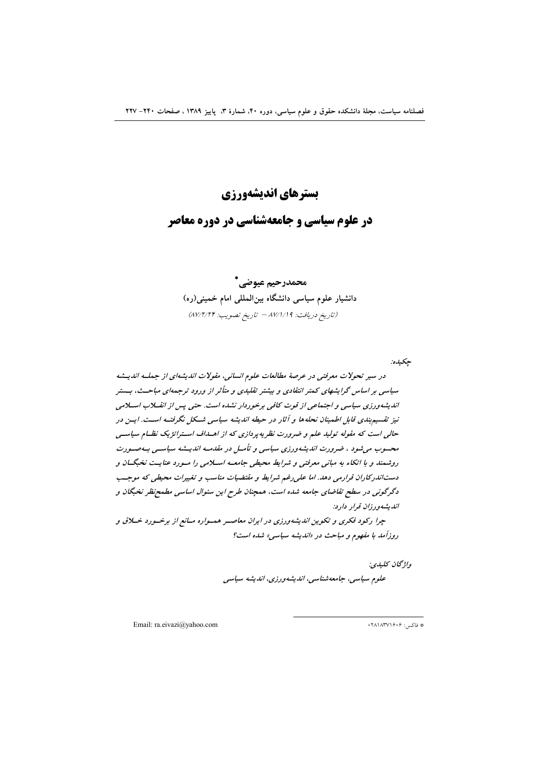# بسترهاي انديشهورزي

# در علوم سیاسی و جامعهشناسی در دوره معاصر

محمدرحيم عبوضي\* دانشیار علوم سیاسی دانشگاه بینالمللی امام خمینی(ره) (تاريخ دريافت: 14/١/١٩ - تاريخ تصويب: ٨٧/٢/٢۴)

جكيده:

در سیر تحولات معرفتی در عرصهٔ مطالعات علوم انسانی، مقولات اندیشهای از جملـه اندیــشه سیاسی بر اساس گرایشهای کمتر انتقادی و بیشتر تقلیدی و متأثر از ورود ترجمهای مباحـث، بــستر اندیشه ورزی سیاسی و اجتماعی از قوت کافی برخوردار نشده است. حتی پس از انقبلاب اسپلامی نیز تقسیم بندی قابل اطمینان نحلهها و آثار در حیطه اندیشه سیاسی شکل نگرفته است. ایس در حالی است که مقوله تولید علم و ضرورت نظریه پردازی که از اهسداف استراتژیک نظـام سیاسـی محسوب می شود ، ضرورت اندیشه ورزی سیاسی و تأمـل در مقدمـه اندیــشه سیاســی بـهصــورت روشمند و با اتکاء به مبانی معرفتی و شرایط محیطی جامعه اسلامی را مسورد عنایست نخبگسان و دستاندرکاران قرارمی دهد. اما علی رغم شرایط و مقتضیات مناسب و تغییرات محیطی که موجسب دگرگونی در سطح تقاضای جامعه شده است، همچنان طرح این سئوال اساسی مطمح نظر نخبگان و انديشه ورزان قرار دارد:

چرا رکود فکری و تکوین اندیشهورزی در ایران معاصب همسواره مسانع از برخسورد خسلاق و روزآمد با مفهوم و مباحث در «اندیشه سیاسی» شده است؟

> واژگان كليدي: علوم سياسي، جامعەشناسي، انديشەورزي، انديشە سياسى

Email: ra.eivazi@yahoo.com

\* فاكس: ۱۶۰۶/۱۸۳۷۱۶۰۶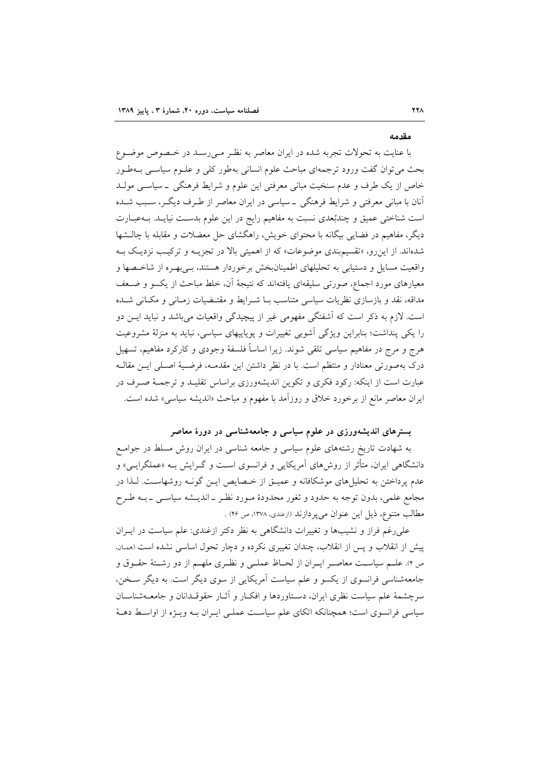#### مقدمه

با عنایت به تحولات تجربه شده در ایران معاصر به نظـر مـیرسـد در خـصوص موضـوع بحث مي توان گفت ورود ترجمهاي مباحث علوم انساني بهطور كلي و علـوم سياسـي بــهطـور خاص از یک طرف و عدم سنخیت مبانی معرفتی این علوم و شرایط فرهنگی ۔سیاسبی مولـد آنان با مبانی معرفتی و شرایط فرهنگی \_سیاسی در ایران معاصر از طـرف دیگـر، سـبب شـده است شناختی عمیق و چندبُعدی نسبت به مفاهیم رایج در این علوم بدسـت نیایــد. بــهعبــارت دیگر، مفاهیم در فضایی بیگانه با محتوای خویش، راهگشای حل معضلات و مقابله با چالـشها شدهاند. از این رو، «تقسیم بندی موضوعات» که از اهمیتی بالا در تجزیـه و ترکیـب نزدیـک بـه واقعیت مسایل و دستیابی به تحلیلهای اطمینانبخش برخوردار هستند، بـیبهـره از شاخـصها و معیارهای مورد اجماع، صورتی سلیقهای یافتهاند که نتیجهٔ آن، خلط مباحث از یکسو و ضـعف مداقه، نقد و بازسازی نظریات سیاسی متناسب بـا شـرایط و مقتـضیات زمـانی و مکـانی شـده است. لازم به ذکر است که آشفتگی مفهومی غیر از پیچیدگی واقعیات می باشد و نباید ایــن دو را یکی پنداشت؛ بنابراین ویژگی آشویی تغییرات و یوپاییهای سیاسی، نباید به منزلهٔ مشروعیت هرج و مرج در مفاهیم سیاسی تلقی شوند. زیرا اساساً فلسفهٔ وجودی و کارکرد مفاهیم، تسهیل درک بهصورتی معنادار و منتظم است. با در نظر داشتن این مقدمـه، فرضـیهٔ اصـلی ایــن مقالــه عبارت است از اینکه: رکود فکری و تکوین اندیشهورزی براساس تقلیـد و ترجمـهٔ صـرف در ایران معاصر مانع از برخورد خلاق و روزآمد با مفهوم و مباحث «اندیشه سیاسی» شده است.

## بسترهای اندیشهورزی در علوم سیاسی و جامعهشناسی در دورهٔ معاصر

به شهادت تاریخ رشتههای علوم سیاسی و جامعه شناسی در ایران روش مسلط در جوامع دانشگاهی ایران، متأثر از روش۱مای آمریکایی و فرانسوی است و گـرایش بــه «عملگرایــی» و عدم پرداختن به تحلیلهای موشکافانه و عمیـق از خـصایص ایـن گونـه روشهاسـت. لـذا در مجامع علمي، بدون توجه به حدود و ثغور محدودهٔ مـورد نظـر ـ انديــشه سياسـي ــ بــه طـرح مطالب متنوع، ذيل اين عنوان مي پر دازند (ازغندي، ١٣٧٨، ص ۴۶) .

علمیرغم فراز و نشیبها و تغییرات دانشگاهی به نظر دکتر ازغندی: علم سیاست در ایــران پیش از انقلاب و پس از انقلاب، چندان تغییری نکرده و دچار تحول اساسی نشده است (ممان. ص ۴). علــم سياســت معاصــر ايــران از لحــاظ عملــي و نظــري ملهــم از دو رشــتهٔ حقــوق و جامعهشناسی فرانسوی از یکسو و علم سیاست آمریکایی از سوی دیگر است. به دیگر سخن، سرچشمهٔ علم سیاست نظری ایران، دستاوردها و افکـار و آثـار حقوقـدانان و جامعــهشناسـان سیاسی فرانسوی است؛ همچنانکه اتکای علم سیاست عملـی ایـران بـه ویـژه از اواسـط دهـهٔ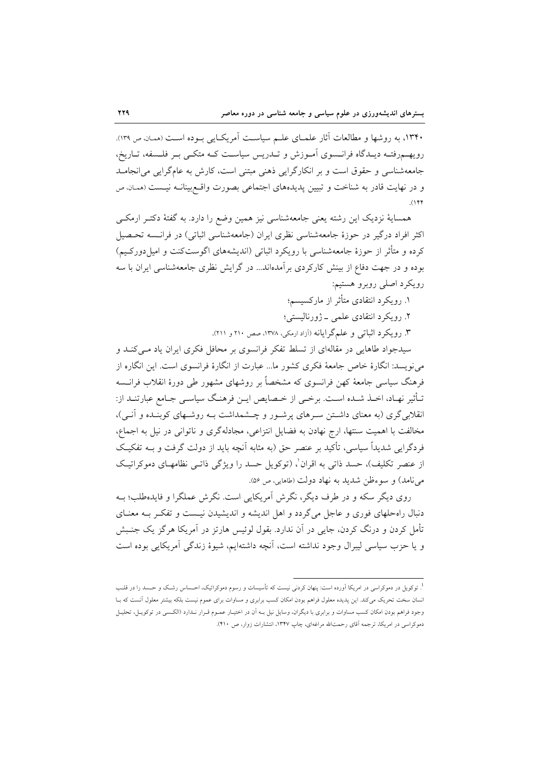۱۳۴۰، به روشها و مطالعات آثار علمای علـم سیاسـت آمریکـایی بـوده اسـت (همان ص ۱۳۹). رویهمروفتـه دیـدگاه فرانـسوی آمـوزش و تـدریس سیاسـت کـه متکـی بـر فلـسفه، تـاریخ، جامعهشناسی و حقوق است و بر انکارگرایی ذهنی مبتنی است، کارش به عامگرایی می انجامـد و در نهایت قادر به شناخت و تبیین پدیدههای اجتماعی بصورت واقع بینانـه نیـست (ممـان ص  $(1)$ 

همسایهٔ نزدیک این رشته یعنی جامعهشناسی نیز همین وضع را دارد. به گفتهٔ دکتــر ارمکــی اکثر افراد درگیر در حوزهٔ جامعهشناسی نظری ایران (جامعهشناسی اثباتی) در فرانسیه تحـصیل کرده و متأثر از حوزهٔ جامعهشناسی با رویکرد اثباتی (اندیشههای اگوستکنت و امیل دورکـیم) بوده و در جهت دفاع از بینش کارکردی برآمدهاند... در گرایش نظری جامعهشناسی ایران با سه رويكرد اصلى روبرو هستيم:

- ۱. رویکرد انتقادی متأثر از مارکسیسم؛
- ۲. رویکرد انتقادی علمی ژورنالیستی؛

۳. رویکرد اثباتی و علمگرایانه (آزاد ارمکی، ۱۳۷۸، صص ۲۱۰ و ۲۱۱).

سیدجواد طاهایی در مقالهای از تسلط تفکر فرانسوی بر محافل فکری ایران یاد می کنـد و می نویسد: انگارهٔ خاص جامعهٔ فکری کشور ما... عبارت از انگارهٔ فرانسوی است. این انگاره از فرهنگ سیاسی جامعهٔ کهن فرانسوی که مشخصاً بر روشهای مشهور طی دورهٔ انقلاب فرانسه تـأثير نهـاد، اخـذ شـده اسـت. برخـي از خـصايص ايـن فرهنـگ سياسـي جـامع عبارتنـد از: انقلابی گری (به معنای داشتن سـرهای پرشـور و چـشمداشت بـه روشـهای کوبنـده و آنـی)، مخالفت با اهمیت سنتها، ارج نهادن به فضایل انتزاعی، مجادلهگری و ناتوانی در نیل به اجماع، فردگرایی شدیداً سیاسی، تأکید بر عنصر حق (به مثابه آنچه باید از دولت گرفت و بــه تفکیـک از عنصر تکلیف)، حسد ذاتی به اقران'، (توکویل حسد را ویژگی ذاتـی نظامهـای دموکراتیـک مي نامد) و سوءظن شديد به نهاد دولت (طاهايي، ص ۵۶).

روی دیگر سکه و در طرف دیگر، نگرش آمریکایی است. نگرش عملگرا و فایدهطلب؛ بـه دنبال راه حلهای فوری و عاجل می گردد و اهل اندیشه و اندیشیدن نیست و تفکر بـه معنـای تأمل کردن و درنگ کردن، جایب در آن ندارد. بقول لوئیس هارتز در آمریکا هرگز یک جنـبش و يا حزب سياسي ليبرال وجود نداشته است، أنچه داشتهايم، شيوهٔ زندگي أمريكايي بوده است

<sup>&</sup>lt;sup>1</sup>. توکویل در دموکراسی در امریکا اَورده است: پنهان کردنی نیست که تأسیسات و رسوم دموکراتیک، احـساس رشـک و حــسد را در قلـب انسان سخت تحریک میکند. این پدیده معلول فراهم بودن امکان کسب برابری و مساوات برای عموم نیست بلکه بیشتر معلول آنست که بـا وجود فراهم بودن امکان کسب مساوات و برابری با دیگران، وسایل نیل بـه آن در اختیـار عمـوم قـرار نـدارد (الکـسی در توکویـل، تحلیـل دموکراسی در امریکا، ترجمه آقای رحمتالله مراغهای، چاپ ۱۳۴۷، انتشارات زوار، ص ۴۱۰).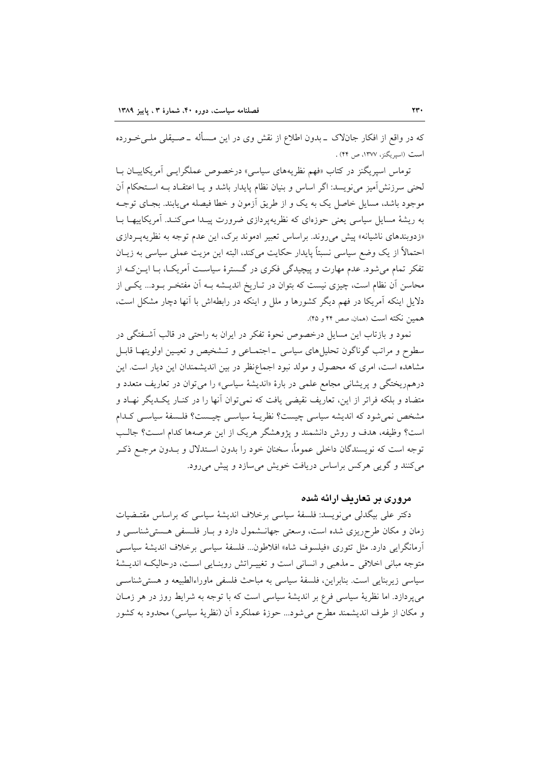که در واقع از افکار جانلاک ــ بدون اطلاع از نقش وی در این مــسأله ــ صــیقلی ملــی خــورده است (اسیریگنز، ۱۳۷۷، ص ۴۴) .

توماس اسپریگنز در کتاب «فهم نظریههای سیاسی» درخصوص عملگرایـی آمریکاییـان بـا لحنی سرزنشآمیز می نویسد: اگر اساس و بنیان نظام پایدار باشد و یـا اعتقـاد بـه اسـتحکام آن موجود باشد، مسایل خاصل یک به یک و از طریق آزمون و خطا فیصله می یابند. بجـای توجـه به ریشهٔ مسایل سیاسی یعنی حوزهای که نظریهپردازی ضرورت پیـدا مـیکنـد. آمریکاییهـا بـا «زدوبندهای ناشیانه» پیش میروند. براساس تعبیر ادموند برک، این عدم توجه به نظریهپردازی احتمالاً از يک وضع سياسي نسبتاً پايدار حکايت ميکند، البته اين مزيت عملي سياسي به زيـان تفکر تمام میشود. عدم مهارت و پیچیدگی فکری در گسترهٔ سیاست آمریک)، بـا ایــن کـه از محاسن آن نظام است، چیزی نیست که بتوان در تـاریخ اندیــشه بــه آن مفتخـر بــود... یکــی از دلایل اینکه آمریکا در فهم دیگر کشورها و ملل و اینکه در رابطهاش با آنها دچار مشکل است، همين نكته است (همان، صص ۴۴ و ۴۵).

نمود و بازتاب این مسایل درخصوص نحوهٔ تفکر در ایران به راحتی در قالب آشـفتگی در سطوح و مراتب گوناگون تحلیلهای سیاسی \_اجتمـاعی و تـشخیص و تعیـین اولویتهـا قابـل مشاهده است، امری که محصول و مولد نبود اجماعنظر در بین اندیشمندان این دیار است. این درهمریختگی و پریشانی مجامع علمی در بارهٔ «اندیشهٔ سیاسی» را میتوان در تعاریف متعدد و متضاد و بلکه فراتر از این، تعاریف نقیضی یافت که نمیتوان آنها را در کنـار یکـدیگر نهـاد و مشخص نمي شود كه انديشه سياسي چيست؟ نظريــهٔ سياســي چيــست؟ فلــسفهٔ سياســي كــدام است؟ وظیفه، هدف و روش دانشمند و پژوهشگر هریک از این عرصهها کدام اسـت؟ جالـب توجه است که نویسندگان داخلی عموماً، سخنان خود را بدون اسـتدلال و بــدون مرجــع ذکـر می کنند و گویی هرکس براساس دریافت خویش می سازد و پیش می رود.

مروری بر تعاریف ارائه شده

دکتر علی بیگدلی می نویسد: فلسفهٔ سیاسی برخلاف اندیشهٔ سیاسی که براساس مقتـضیات زمان و مکان طرحریزی شده است، وسعتی جهانـشمول دارد و بـار فلـسفی هـستیشناسـی و آرمانگرایی دارد. مثل تئوری «فیلسوف شاه» افلاطون... فلسفهٔ سیاسی برخلاف اندیشهٔ سیاسی متوجه مباني اخلاقي \_مذهبي و انساني است و تغييـراتش روبنـايي اسـت، درحاليكـه انديـشهٔ سياسي زيربنايي است. بنابراين، فلسفة سياسي به مباحث فلسفي ماوراءالطبيعه و هستي شناسبي می پردازد. اما نظریهٔ سیاسی فرع بر اندیشهٔ سیاسی است که با توجه به شرایط روز در هر زمـان و مكان از طرف انديشمند مطرح مى شود... حوزهٔ عملكرد آن (نظريهٔ سياسى) محدود به كشور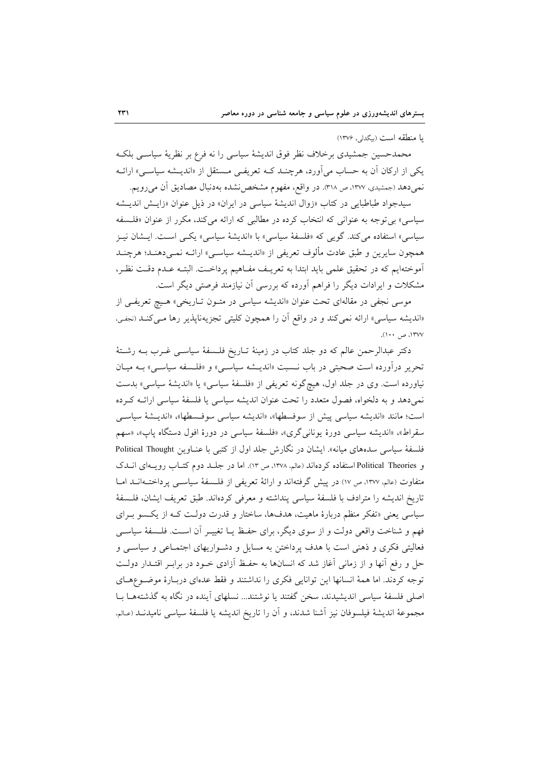با منطقه است (بيگدلى، ١٣٧۶)

محمدحسین جمشیدی برخلاف نظر فوق اندیشهٔ سیاسی را نه فرع بر نظریهٔ سیاسـی بلکـه یکی از ارکان آن به حساب می**آورد، هرچنـد ک**ـه تعریفـی مـستقل از «اندیــشه سیاســی» ارائــه نمیدهد (جمشیدی، ۱۳۷۷، ص ۳۱۸). در واقع، مفهوم مشخص نشده بهدنبال مصادیق آن می رویم.

سیدجواد طباطبایی در کتاب «زوال اندیشهٔ سیاسی در ایران» در ذیل عنوان «زایـش اندیـشه سیاسی» بی توجه به عنوانی که انتخاب کرده در مطالبی که ارائه میکند، مکرر از عنوان «فلسفه سیاسی» استفاده می کند. گویبی که «فلسفهٔ سیاسی» با «اندیشهٔ سیاسی» یکسی است. ایـشان نیـز همچون سایرین و طبق عادت مألوف تعریفی از «اندیـشه سیاسـی» ارائـه نمـیدهنـد؛ هرچنــد آموختهایم که در تحقیق علمی باید ابتدا به تعریـف مفـاهیم پرداخـت. البتـه عـدم دقـت نظـر، مشکلات و ایرادات دیگر را فراهم آورده که بررسی آن نیازمند فرصتی دیگر است.

موسی نجفی در مقالهای تحت عنوان «اندیشه سیاسی در متـون تـاریخی» هـیچ تعریفـی از «اندیشه سیاسی» ارائه نمی کند و در واقع اّن را همچون کلیتی تجزیهناپذیر رها مـی کنــد (نجفـی، ۱۳۷۷، ص ۱۰۰).

دکتر عبدالرحمن عالم که دو جلد کتاب در زمینهٔ تـاریخ فلـسفهٔ سیاسـی غـرب بـه رشـتهٔ تحریر درآورده است صحبتی در باب نـسبت «اندیـشه سیاسـی» و «فلـسفه سیاسـی» بـه میـان نیاورده است. وی در جلد اول، هیچگونه تعریفی از «فلسفهٔ سیاسی» یا «اندیشهٔ سیاسی» بدست نمی دهد و به دلخواه، فصول متعدد را تحت عنوان اندیشه سیاسی یا فلسفهٔ سیاسی ارائـه کـرده است؛ مانند «اندیشه سیاسی پیش از سوفسطها»، «اندیشه سیاسی سوفسطها»، «اندیـشهٔ سیاسـی سقراط»، «اندیشه سیاسی دورهٔ یونانی گری»، «فلسفهٔ سیاسی در دورهٔ افول دستگاه پاپ»، «سهم فلسفهٔ سیاسی سدههای میانه». ایشان در نگارش جلد اول از کتبی با عناوین Political Thought و Political Theories استفاده كردهاند (عالم، ١٣٧٨، ص ١٣). اما در جلد دوم كتـاب رويـهاى انـدك متفاوت (عالم، ١٣٧٧، ص ١٧) در پیش گرفتهاند و ارائهٔ تعریفی از فلسفهٔ سیاسبی پرداختـهانــد امــا تاريخ انديشه را مترادف با فلسفة سياسي پنداشته و معرفي كردهاند. طبق تعريف ايشان، فلسفة سیاسی یعنی «تفکر منظم دربارهٔ ماهیت، هدفها، ساختار و قدرت دولت کـه از یکـسو بـرای فهم و شناخت واقعی دولت و از سوی دیگر، برای حفظ یـا تغییـر آن اسـت. فلـسفهٔ سیاسـی فعالیتی فکری و ذهنی است با هدف پرداختن به مسایل و دشواریهای اجتمـاعی و سیاسـی و حل و رفع آنها و از زمانی آغاز شد که انسانها به حفظ آزادی خـود در برابـر اقتـدار دولـت توجه كردند. اما همهٔ انسانها این توانایی فكری را نداشتند و فقط عدهای دربـارهٔ موضـوعهـای اصلی فلسفهٔ سیاسی اندیشیدند، سخن گفتند یا نوشتند... نسلهای آینده در نگاه به گذشتههـا بــا مجموعهٔ اندیشهٔ فیلسوفان نیز اَشنا شدند، و اَن را تاریخ اندیشه یا فلسفهٔ سیاسی نامیدنــد (عـالم،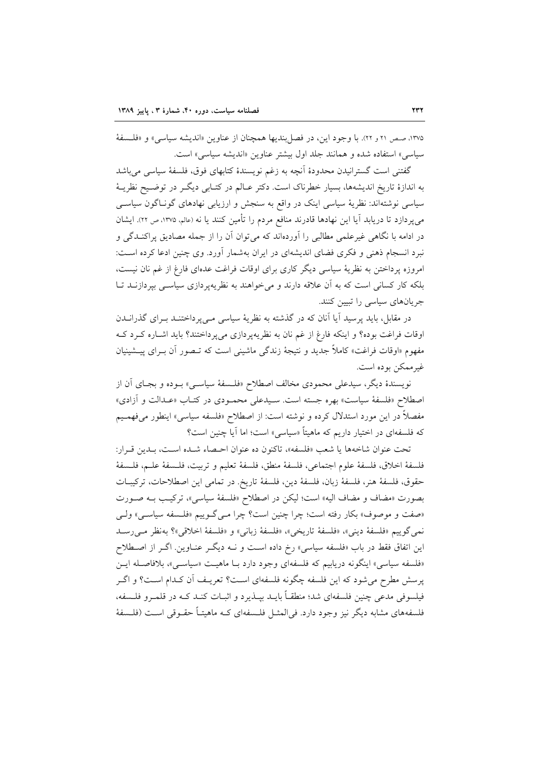۱۳۷۵، صص ۲۱ و ۲۲). با وجود این، در فصل بندیها همچنان از عناوین «اندیشه سیاسی» و «فلسفهٔ سياسي» استفاده شده و همانند جلد اول بيشتر عناوين «انديشه سياسي» است.

گفتنی است گسترانیدن محدودهٔ آنچه به زغم نویسندهٔ کتابهای فوق، فلسفهٔ سیاسی می باشد به اندازهٔ تاریخ اندیشهها، بسیار خطرناک است. دکتر عـالم در کتـابی دیگـر در توضـیح نظریــهٔ سیاسی نوشتهاند: نظریهٔ سیاسی اینک در واقع به سنجش و ارزیابی نهادهای گونـاگون سیاسـی می پردازد تا دریابد آیا این نهادها قادرند منافع مردم را تأمین کنند یا نه (عالم، ۱۳۷۵، ص ۲۲). ایشان در ادامه با نگاهی غیرعلمی مطالبی را آوردهاند که می توان آن را از جمله مصادیق پراکنـدگی و نبرد انسجام ذهنی و فکری فضای اندیشهای در ایران بهشمار آورد. وی چنین ادعا کرده است: امروزه پرداختن به نظریهٔ سیاسی دیگر کاری برای اوقات فراغت عدهای فارغ از غم نان نیست، بلکه کار کسانی است که به آن علاقه دارند و می خواهند به نظریهپردازی سیاسی بیردازنـد تـا جریانهای سیاسی را تبیین کنند.

در مقابل، باید پرسید آیا آنان که در گذشته به نظریهٔ سیاسی مـیپرداختنــد بــرای گذرانــدن اوقات فراغت بوده؟ و اینکه فارغ از غم نان به نظریهپردازی میپرداختند؟ باید اشـاره کـرد کـه مفهوم «اوقات فراغت» کاملاً جدید و نتیجهٔ زندگی ماشینی است که تــصور آن بــرای پیــشینیان غيرممكن بوده است.

نويسندهٔ ديگر، سيدعلي محمودي مخالف اصطلاح «فلسفهٔ سياسـي» بـوده و بجـاي آن از اصطلاح «فلسفهٔ سیاست» بهره جسته است. سـیدعلی محمـودی در کتــاب «عــدالت و أزادی» مفصلاً در این مورد استدلال کرده و نوشته است: از اصطلاح «فلسفه سیاسی» اینطور میفهمـیم که فلسفهای در اختیار داریم که ماهیتاً «سیاسی» است؛ اما آیا چنین است؟

تحت عنوان شاخهها يا شعب «فلسفه»، تاكنون ده عنوان احـصاء شـده اسـت، بـدين قـرار: فلسفة اخلاق، فلسفة علوم اجتماعي، فلسفة منطق، فلسفة تعليم و تربيت، فلـسفة علـم، فلـسفة حقوق، فلسفة هنر، فلسفة زبان، فلسفة دين، فلسفة تاريخ. در تمامي اين اصطلاحات، تركيبـات بصورت «مضاف و مضاف اليه» است؛ ليكن در اصطلاح «فلسفة سياسي»، تركيب بـه صـورت «صفت و موصوف» بكار رفته است؛ چرا چنين است؟ چرا مـي گـوييم «فلـسفه سياسـي» ولـي نمي گوييم «فلسفة ديني»، «فلسفة تاريخي»، «فلسفة زباني» و «فلسفة اخلاقي»؟ بهنظر مي رسـد این اتفاق فقط در باب «فلسفه سیاسی» رخ داده است و نـه دیگـر عنـاوین. اگـر از اصـطلاح «فلسفه سیاسی» اینگونه دریابیم که فلسفهای وجود دارد بـا ماهیـت «سیاسـی»، بلافاصـله ایـن يرسش مطرح مي شود كه اين فلسفه چگونه فلسفهاي اسـت؟ تعريـف أن كـدام اسـت؟ و اگـر فیلسوفی مدعی چنین فلسفهای شد؛ منطقـاً بایــد بیــذیرد و اثبــات کنــد کــه در قلمــرو فلــسفه، فلسفههای مشابه دیگر نیز وجود دارد. فی المثــل فلــسفهای کــه ماهیتــاً حقــوقی اســت (فلــسفهٔ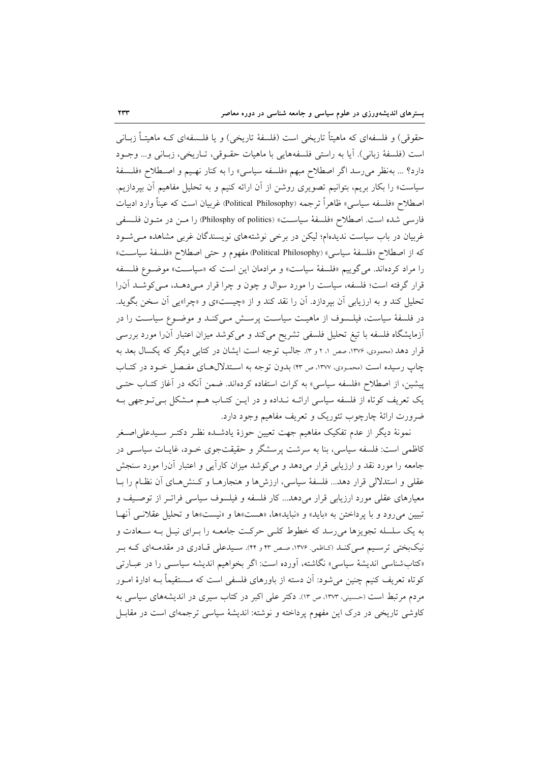حقوقی) و فلسفهای که ماهیتاً تاریخی است (فلسفهٔ تاریخی) و یا فلـسفهای کـه ماهیتـاً زبــانی است (فلسفهٔ زبانی). آیا به راستی فلسفههایی با ماهیات حقـوقی، تـاریخی، زبـانی و... وجـود دارد؟ … بهنظر مى رسد اگر اصطلاح مبهم «فلسفه سياسى» را به كنار نهـيم و اصـطلاح «فلـسفهٔ سیاست» را بکار بریم، بتوانیم تصویری روشن از آن ارائه کنیم و به تحلیل مفاهیم آن بپردازیم. اصطلاح «فلسفه سیاسی» ظاهراً ترجمه (Political Philosophy) غربیان است که عیناً وارد ادبیات فارسی شده است. اصطلاح «فلسفهٔ سیاست» (Philosphy of politics) را مــن در متــون فلــسفی غربیان در باب سیاست ندیدهام؛ لیکن در برخی نوشتههای نویسندگان غربی مشاهده می شود كه از اصطلاح «فلسفة سياسي» (Political Philosophy) مفهوم و حتى اصطلاح «فلسفة سياست» را مراد کردهاند. می گوییم «فلسفهٔ سیاست» و مرادمان این است که «سیاست» موضوع فلسفه قرار گرفته است؛ فلسفه، سیاست را مورد سوال و چون و چرا قرار مـی۵هـد، مـی کوشـد آن(ا تحلیل کند و به ارزیابی آن بیردازد. آن را نقد کند و از «چیست»ی و «چرا»یی آن سخن بگوید. در فلسفهٔ سیاست، فیلـسوف از ماهیـت سیاسـت پرسـش مـیکنـد و موضـوع سیاسـت را در أزمايشگاه فلسفه با تيغ تحليل فلسفي تشريح ميكند و ميكوشد ميزان اعتبار آن را مورد بررسي قرار دهد (محمودی، ۱۳۷۶، صص ۱، ۲ و ۳). جالب توجه است ایشان در کتابی دیگر که یکسال بعد به چاپ رسیده است (محمودی، ۱۳۷۷، ص ۴۳) بدون توجه به استدلال های مفـصل خـود در کتـاب پیشین، از اصطلاح «فلسفه سیاسی» به کرات استفاده کردهاند. ضمن آنکه در آغاز کتـاب حتـی یک تعریف کوتاه از فلسفه سیاسی ارائـه نـداده و در ایـن کتـاب هـم مـشکل بـیتـوجهی بـه ضرورت ارائهٔ چارچوب تئوریک و تعریف مفاهیم وجود دارد.

نمونهٔ دیگر از عدم تفکیک مفاهیم جهت تعیین حوزهٔ یادشـده نظـر دکتـر سـیدعلی|صـغر کاظمی است: فلسفه سیاسی، بنا به سرشت پرسشگر و حقیقتجوی خـود، غایـات سیاســی در جامعه را مورد نقد و ارزیابی قرار میدهد و می کوشد میزان کارأیی و اعتبار آنرا مورد سنجش عقلی و استدلالی قرار دهد... فلسفهٔ سیاسی، ارزشها و هنجارهـا و کـنشههـای آن نظـام را بـا معیارهای عقلی مورد ارزیابی قرار میدهد... کار فلسفه و فیلسوف سیاسی فراتـر از توصـیف و تبيين مي رود و با پرداختن به «بايد» و «نبايد»ها، «هست»ها و «نيست»ها و تحليل عقلانـي آنهـا به یک سلسله تجویزها میررسد که خطوط کلـی حرکـت جامعـه را بـرای نیـل بـه سـعادت و نیکبختی ترسیم می کنـد (کـاظمی ١٣٧۶، صـص ۴۲ و ۴۴). سـیدعلی قـادری در مقدمـهای کـه بـر «کتابشناسی اندیشهٔ سیاسی» نگاشته، آورده است: اگر بخواهیم اندیشه سیاســی را در عبــارتی کوتاه تعریف کنیم چنین می شود: آن دسته از باورهای فلسفی است که مـستقیماً بــه ادارهٔ امــور مردم مرتبط است (حسینی، ۱۳۷۳، ص ۱۳). دکتر علی اکبر در کتاب سیری در اندیشههای سیاسی به کاوشی تاریخی در درک این مفهوم پرداخته و نوشته: اندیشهٔ سیاسی ترجمهای است در مقابـل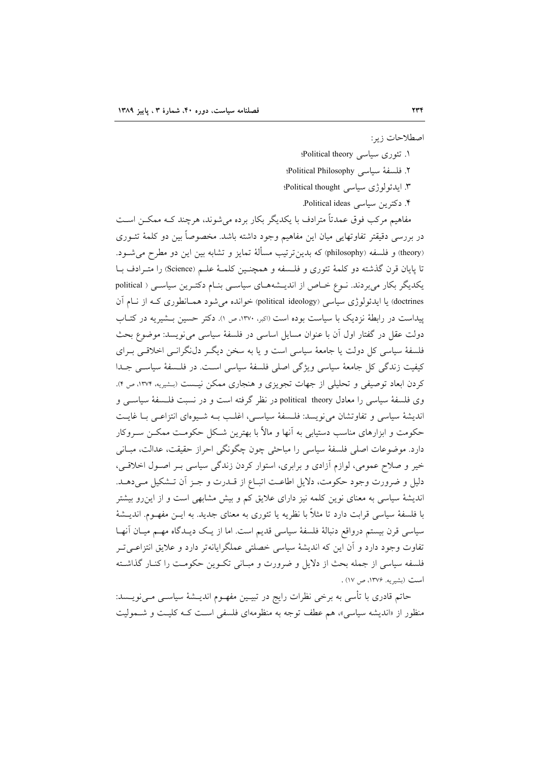اصطلاحات زبر:

- ۱. تئوری سیاسی Political theory؛ ٢. فلسفة سياسي Political Philosophy؛
- ٣. ايدئولو ژی سياسی Political thought؛
	- ۴. دکترین سیاسی Political ideas.
	-

مفاهیم مرکب فوق عمدتاً مترادف با یکدیگر بکار برده میشوند، هرچند کـه ممکــن اســت در بررسی دقیقتر تفاوتهایی میان این مفاهیم وجود داشته باشد. مخصوصاً بین دو کلمهٔ تئــوری (theory) و فلسفه (philosophy) که بدین ترتیب مسألهٔ تمایز و تشابه بین این دو مطرح می شـود. تا پایان قرن گذشته دو کلمهٔ تئوری و فلـسفه و همچنـین کلمـهٔ علـم (Science) را متـرادف بـا یکدیگر بکار می بردند. نوع خاص از اندیـشههـای سیاسـی بنـام دکتـرین سیاسـی ( political doctrines) یا ایدئولوژی سیاسی (political ideology) خوانده می شود همـانطوری کـه از نـام آن پیداست در رابطهٔ نزدیک با سیاست بوده است (اکبر، ۱۳۷۰، ص ۱). دکتر حسین بـشیریه در کتـاب دولت عقل در گفتار اول آن با عنوان مسایل اساسی در فلسفهٔ سیاسی می نویسد: موضوع بحث فلسفهٔ سیاسی کل دولت یا جامعهٔ سیاسی است و یا به سخن دیگر دل نگرانسی اخلاقسی بـرای كيفيت زندگي كل جامعهٔ سياسي ويژگي اصلي فلسفهٔ سياسي است. در فلسفهٔ سياسي جـدا کردن ابعاد توصیفی و تحلیلی از جهات تجویزی و هنجاری ممکن نیست (بشیریه ۱۳۷۴، ص ۴). وی فلسفهٔ سیاسی را معادل political theory در نظر گرفته است و در نسبت فلـسفهٔ سیاسـی و اندیشهٔ سیاسی و تفاوتشان می نویسد: فلـسفهٔ سیاسـی، اغلـب بـه شـیوهای انتزاعـی بـا غایـت حکومت و ابزارهای مناسب دستیابی به آنها و مالاً با بهترین شـکل حکومـت ممکـن سـروکار دارد. موضوعات اصلی فلسفهٔ سیاسی را مباحثی چون چگونگی احراز حقیقت، عدالت، مبـانی خیر و صلاح عمومی، لوازم آزادی و برابری، استوار کردن زندگی سیاسی بـر اصـول اخلاقـی، دلیل و ضرورت وجود حکومت، دلایل اطاعت اتبـاع از قــدرت و جـز آن تــشکیل مــیدهــد. اندیشهٔ سیاسی به معنای نوین کلمه نیز دارای علایق کم و بیش مشابهی است و از این رو بیشتر با فلسفهٔ سیاسی قرابت دارد تا مثلاً با نظریه یا تئوری به معنای جدید. به ایــن مفهــوم. اندیــشهٔ سیاسی قرن بیستم درواقع دنبالهٔ فلسفهٔ سیاسی قدیم است. اما از یـک دیـدگاه مهـم میـان آنهـا تفاوت وجود دارد و اَن این که اندیشهٔ سیاسی خصلتی عملگرایانهتر دارد و علایق انتزاعـی تــر فلسفه سیاسی از جمله بحث از دلایل و ضرورت و مبـانی تکـوین حکومـت را کنـار گذاشـته است (بشیریه. ۱۳۷۶، ص ۱۷) .

حاتم قادری با تأسی به برخی نظرات رایج در تبیـین مفهــوم اندیــشهٔ سیاســی مــیiویــسد: منظور از «اندیشه سیاسی»، هم عطف توجه به منظومهای فلسفی است کـه کلیـت و شـمولیت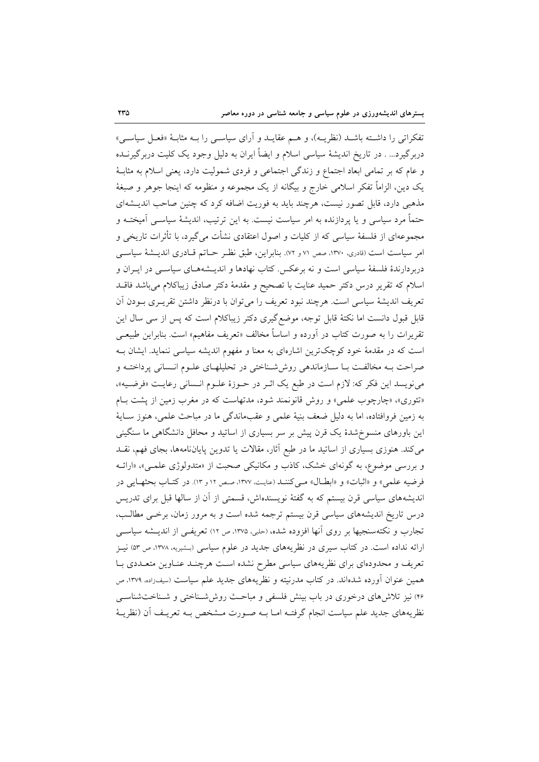تفکراتی را داشته باشـد (نظریـه)، و هـم عقایـد و آرای سیاسـی را بـه مثابـهٔ «فعـل سیاسـی» دربرگیرد… . در تاریخ اندیشهٔ سیاسی اسلام و ایضاً ایران به دلیل وجود یک کلیت دربرگیرنــده و عام که بر تمامی ابعاد اجتماع و زندگی اجتماعی و فردی شمولیت دارد، یعنی اسلام به مثابـهٔ یک دین، الزاماً تفکر اسلامی خارج و بیگانه از یک مجموعه و منظومه که اینجا جوهر و صبغهٔ مذهبی دارد، قابل تصور نیست، هرچند باید به فوریت اضافه کرد که چنین صاحب اندیـشهای حتماً مرد سیاسی و یا پردازنده به امر سیاست نیست. به این ترتیب، اندیشهٔ سیاســی اَمیختــه و مجموعهای از فلسفهٔ سیاسی که از کلیات و اصول اعتقادی نشأت میگیرد، با تأثرات تاریخی و امر سیاست است (قادری، ۱۳۷۰، صص ۷۱ و ۷۲. بنابراین، طبق نظـر حــاتم قــادری اندیــشهٔ سیاســی دربردارندهٔ فلسفهٔ سیاسی است و نه برعکس. کتاب نهادها و اندیـشههـای سیاســی در ایــران و اسلام كه تقرير درس دكتر حميد عنايت با تصحيح و مقدمة دكتر صادق زيباكلام مى باشد فاقلد تعريف انديشهٔ سياسي است. هرچند نبود تعريف را مي توان با درنظر داشتن تقريــري بــودن آن قابل قبول دانست اما نکتهٔ قابل توجه، موضع گیری دکتر زیباکلام است که پس از سی سال این تقریرات را به صورت کتاب در آورده و اساساً مخالف «تعریف مفاهیم» است. بنابراین طبیعـی است که در مقدمهٔ خود کوچکترین اشارهای به معنا و مفهوم اندیشه سیاسی ننماید. ایشان ب صراحت بـه مخالفـت بـا سـازماندهى روششناختى در تحليلهـاي علـوم انـسانى پرداختـه و مى نويسد اين فكر كه: لازم است در طبع يك اثـر در حـوزهٔ علـوم انـساني رعايـت «فرضـيه»، «تئوري»، «چارچوب علمي» و روش قانونمند شود، مدتهاست كه در مغرب زمين از پشت بام به زمين فروافتاده، اما به دليل ضعف بنيهٔ علمي و عقبماندگي ما در مباحث علمي، هنوز سـايهٔ این باورهای منسوِخشدهٔ یک قرن پیش بر سر بسیاری از اساتید و محافل دانشگاهی ما سنگینی می کند. هنوزی بسیاری از اساتید ما در طبع آثار، مقالات یا تدوین پایاننامهها، بجای فهم، نقــد و بررسی موضوع، به گونهای خشک، کاذب و مکانیکی صحبت از «متدولوژی علمی»، «ارائـه فرضيه علمي» و «اثبات» و «ابطـال» مـي كننـد (عنايـت ١٣٧٧، صـص ١٢ و ١٣). در كتـاب بحثهـايـي در اندیشههای سیاسی قرن بیستم که به گفتهٔ نویسندهاش، قسمتی از آن از سالها قبل برای تدریس درس تاریخ اندیشههای سیاسی قرن بیستم ترجمه شده است و به مرور زمان، برخـی مطالـب، تجارب و نکتهسنجیها بر روی آنها افزوده شده، (حلبی، ۱۳۷۵، ص ۱۲) تعریفی از اندیــشه سیاســی ارائه نداده است. در کتاب سیری در نظریههای جدید در علوم سیاسی (بـشیریه، ۱۳۷۸، ص ۵۳) نیــز تعریف و محدودهای برای نظریههای سیاسی مطرح نشده است هرچنـد عنـاوین متعـددی بـا همین عنوان اَورده شدهاند. در کتاب مدرنیته و نظریههای جدید علم سیاست (سیف(ده، ۱۳۷۹، ص ۴۶) نیز تلاشهای درخوری در باب بینش فلسفی و مباحث روششسناختی و شـناختشناسـی نظریههای جدید علم سیاست انجام گرفتـه امـا بــه صـورت مــشخص بــه تعریــف آن (نظریــهٔ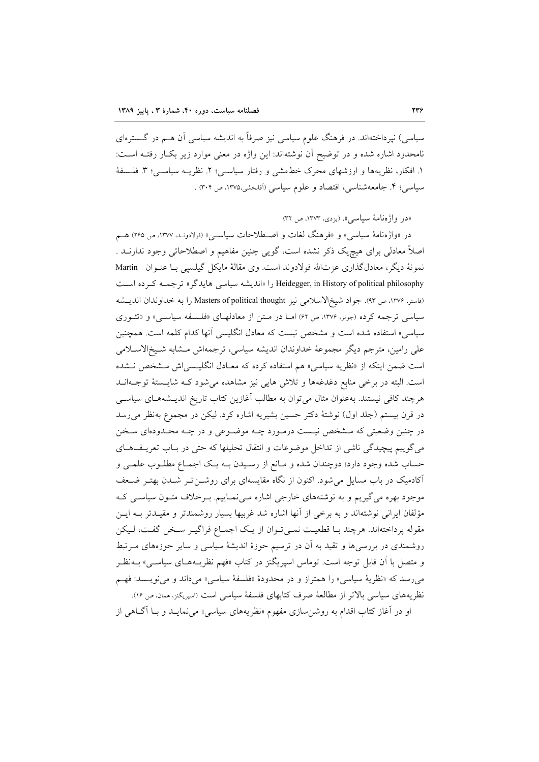سیاسی) نیرداختهاند. در فرهنگ علوم سیاسی نیز صرفاً به اندیشه سیاسی آن هــم در گــسترهای نامحدود اشاره شده و در توضیح آن نوشتهاند: این واژه در معنی موارد زیر بکار رفتـه اسـت: ١. افكار، نظريهها و ارزشهاى محرك خطمشى و رفتار سياسـي؛ ٢. نظريــه سياسـي؛ ٣. فلـسفة سیاسی؛ ۴. جامعهشناسی، اقتصاد و علوم سیاسی (آقابخشی،۱۳۷۵، ص ۳۰۴) .

«در واژهنامهٔ سیاسی». (یزدی، ۱۳۷۳، ص ۳۲)

در «واژەنامهٔ سیاسی» و «فرهنگ لغات و اصـطلاحات سیاســی» (فولادونـد. ۱۳۷۷، ص ۲۶۵) هــم اصلاً معادلی برای هیچ یک ذکر نشده است، گویی چنین مفاهیم و اصطلاحاتی وجود ندارنــد . نمونهٔ دیگر، معادلگذاری عزتالله فولادوند است. وی مقالهٔ مایکل گیلسیی بـا عنـوان Martin Heidegger, in History of political philosophy را «اندیشه سیاسی هایدگر» ترجمـه کـرده اسـت (فاستر، ١٣٧۶، ص ٩٣). جواد شيخ|لاسلامي نيز Masters of political thought را به خداوندان انديــشه سیاسی ترجمه کرده (جونز، ۱۳۷۶، ص ۶۲) امـا در مـتن از معادلهـای «فلـسفه سیاسـی» و «تئـوری سیاسی» استفاده شده است و مشخص نیست که معادل انگلیسی آنها کدام کلمه است. همچنین على رامين، مترجم ديگر مجموعهٔ خداوندان انديشه سياسي، ترجمهاش مـشابه شـيخالاسـلامي است ضمن اینکه از «نظریه سیاسی» هم استفاده کرده که معـادل انگلیـسیاش مـشخص نـشده است. البته در برخی منابع دغدغهها و تلاش هایی نیز مشاهده می شود کـه شایـستهٔ توجـهانـد هرچند کافی نیستند. بهعنوان مثال میتوان به مطالب آغازین کتاب تاریخ اندیـشههـای سیاسـی در قرن بیستم (جلد اول) نوشتهٔ دکتر حسین بشیریه اشاره کرد. لیکن در مجموع بهنظر می رسد در چنین وضعیتی که مــشخص نیــست درمــورد چــه موضــوعی و در چــه محــدودهای ســخن می گوییم پیچیدگی ناشی از تداخل موضوعات و انتقال تحلیلها که حتی در بـاب تعریـفهـای حساب شده وجود دارد؛ دوچندان شده و مـانع از رسـيدن بــه يـك اجمــاع مطلــوب علمــي و آکادمیک در باب مسایل می شود. اکنون از نگاه مقایسهای برای روشـنتر شـدن بهتـر ضـعف موجود بهره می گیریم و به نوشتههای خارجی اشاره می نمـاییم. بـرخلاف متـون سیاسـی کـه مؤلفان ایرانی نوشتهاند و به برخی از آنها اشاره شد غربیها بسیار روشمندتر و مقیـدتر بــه ایــن مقوله پرداختهاند. هرچند بـا قطعیـت نمـیتوان از یـک اجمـاع فراگیـر سـخن گفـت، لـیکن روشمندی در بررسیها و تقید به آن در ترسیم حوزهٔ اندیشهٔ سیاسی و سایر حوزههای مــرتبط و متصل با آن قابل توجه است. توماس اسپریگنز در کتاب «فهم نظریــههـای سیاســی» بــهنظــر مي رسد كه «نظرية سياسي» را همتراز و در محدودة «فلسفة سياسي» مي داند و مي نويـسد: فهـم نظریههای سیاسی بالاتر از مطالعهٔ صرف کتابهای فلسفهٔ سیاسی است (اسپریکنز، همان، ص ۱۶). او در آغاز کتاب اقدام به روشن سازی مفهوم «نظریههای سیاسی» می نمایـد و بـا آگــاهـی از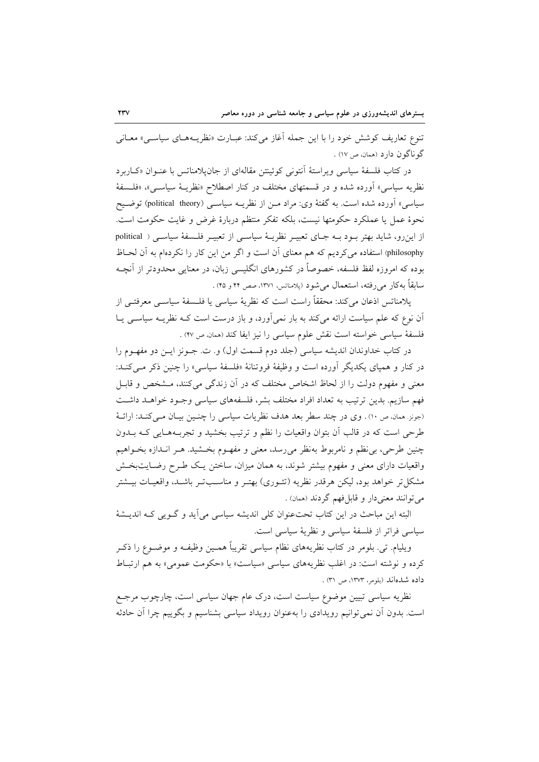تنوع تعاریف کوشش خود را با این جمله آغاز میکند: عبـارت «نظریـههـای سیاسـی» معـانی گو ناگو ن دار د (همان، ص ١٧) .

در كتاب فلسفة سياسي ويراستة آنتونى كوئينتن مقالهاى از جان يلامناتس با عنـوان «كـاربرد نظریه سیاسی» اَورده شده و در قسمتهای مختلف در کنار اصطلاح «نظریــهٔ سیاســی»، «فلــسفهٔ سیاسی» آورده شده است. به گفتهٔ وی: مراد مـن از نظریــه سیاســی (political theory) توضــیح نحوهٔ عمل یا عملکرد حکومتها نیست، بلکه تفکر منتظم دربارهٔ غرض و غایت حکومت است. از اینرو، شاید بهتر بود بـه جـای تعبیـر نظریـهٔ سیاسـی از تعبیـر فلـسفهٔ سیاسـی ( political philosophy) استفاده میکردیم که هم معنای آن است و اگر من این کار را نکردهام به آن لحـاظ بوده که امروزه لفظ فلسفه، خصوصاً در کشورهای انگلیسی زبان، در معنایی محدودتر از آنچـه سابقاً به كار مى رفته، استعمال مى شود (پلامناتس، ١٣٧١، صص ۴۴ و ۴۵) .

يلامناتس اذعان مي كند: محققاً راست است كه نظريهٔ سياسي يا فلــسفهٔ سياســي معرفتــي از اّن نوع که علم سیاست ارائه میکند به بار نمیآورد، و باز درست است کـه نظریــه سیاســی یــا فلسفة سياسي خواسته است نقش علوم سياسي را نيز ايفا كند (همان ص ۴۷) .

در کتاب خداوندان اندیشه سیاسی (جلد دوم قسمت اول) و. ت. جــونز ایــن دو مفهــوم را در کنار و همپای یکدیگر آورده است و وظیفهٔ فروتنانهٔ «فلسفهٔ سیاسی» را چنین ذکر مـیکنـد: معنی و مفهوم دولت را از لحاظ اشخاص مختلف که در آن زندگی میکنند، مـشخص و قابـل فهم سازيم. بدين ترتيب به تعداد افراد مختلف بشر، فلسفههاى سياسي وجـود خواهـد داشـت (جونز. همان، ص ١٠) . وي در چند سطر بعد هدف نظريات سياسي را چنسين بيـان مـي كنـد: ارائــهٔ طرحی است که در قالب آن بتوان واقعیات را نظم و ترتیب بخشید و تجربـههـایی کـه بــدون چنین طرحی، بی نظم و نامربوط به نظر می رسد، معنی و مفهـوم بخـشید. هـر انــدازه بخــواهیم واقعیات دارای معنی و مفهوم بیشتر شوند، به همان میزان، ساختن یک طـرح رضـایتبخـش مشکل تر خواهد بود، لیکن هرقدر نظریه (تئـوری) بهتـر و مناسـبتـر باشـد، واقعیـات بیـشتر مي توانند معنى دار و قابل فهم گردند (ممان) .

البته این مباحث در این کتاب تحت عنوان کلی اندیشه سیاسی می آید و گـویی کـه اندیــشهٔ سیاسی فراتر از فلسفهٔ سیاسی و نظریهٔ سیاسی است.

ويليام. تبي. بلومر در كتاب نظريههاي نظام سياسي تقريباً همـين وظيفـه و موضــوع را ذكـر کرده و نوشته است: در اغلب نظریههای سیاسی «سیاست» با «حکومت عمومی» به هم ارتباط داده شدهاند (بلومر، ١٣٧٣، ص ٣١) .

نظریه سیاسی تبیین موضوع سیاست است، درک عام جهان سیاسی است، چارچوب مرجـع است. بدون آن نمی توانیم رویدادی را بهعنوان رویداد سیاسی بشناسیم و بگوییم چرا آن حادثه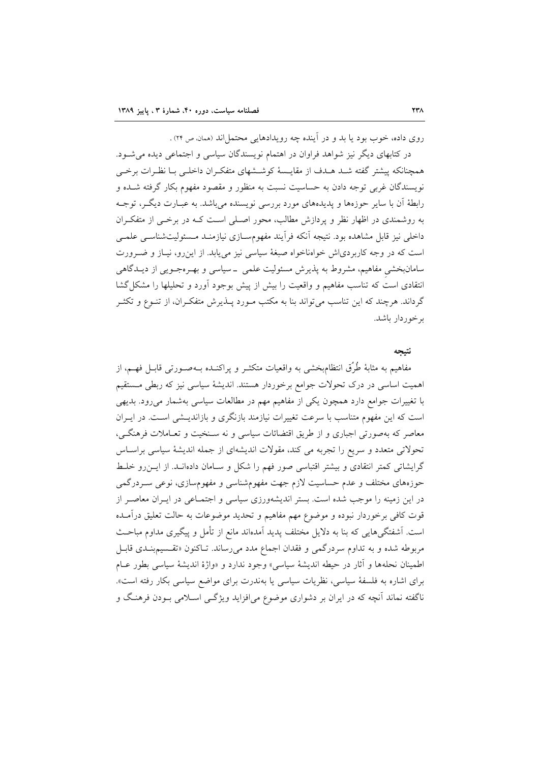روی داده، خوب بود یا بد و در آینده چه رویدادهایی محتمل اند (ممان ص ۲۴) .

در کتابهای دیگر نیز شواهد فراوان در اهتمام نویسندگان سیاسی و اجتماعی دیده می شـود. همچنانکه پیشتر گفته شد هـدف از مقایـسهٔ کوشـشهای متفکران داخلـی بـا نظـرات برخـی نویسندگان غربی توجه دادن به حساسیت نسبت به منظور و مقصود مفهوم بکار گرفته شــده و رابطهٔ آن با سایر حوزهها و پدیدههای مورد بررسی نویسنده می باشد. به عبـارت دیگـر، توجـه به روشمندی در اظهار نظر و پردازش مطالب، محور اصلی است کـه در برخــی از متفکـران داخلی نیز قابل مشاهده بود. نتیجه آنکه فرآیند مفهومسـازی نیازمنـد مـسئولیتشناسـی علمـی است که در وجه کاربردیاش خوامناخواه صبغهٔ سیاسی نیز می یابد. از این رو، نیـاز و ضـرورت سامانبخشی مفاهیم، مشروط به پذیرش مسئولیت علمی \_سیاسی و بهـرهجـویی از دیــدگاهی انتقادی است که تناسب مفاهیم و واقعیت را بیش از پیش بوجود آورد و تحلیلها را مشکل گشا گرداند. هرچند که این تناسب می تواند بنا به مکتب مـورد پـــذیرش متفکــران، از تنــوع و تکثــر برخوردار باشد.

#### نتىحە

مفاهیم به مثابهٔ طُرُق انتظامبخشی به واقعیات متکثــر و پراکنــده بــهصــورتی قابــل فهــم، از اهمیت اساسی در درک تحولات جوامع برخوردار هستند. اندیشهٔ سیاسی نیز که ربطی مستقیم با تغییرات جوامع دارد همچون یکی از مفاهیم مهم در مطالعات سیاسی بهشمار می رود. بدیهی است که این مفهوم متناسب با سرعت تغییرات نیازمند بازنگری و بازاندیـشی اسـت. در ایـران معاصر که بهصورتی اجباری و از طریق اقتضائات سیاسی و نه سـنخیت و تعـاملات فرهنگـی، تحولاتی متعدد و سریع را تجربه می کند، مقولات اندیشهای از جمله اندیشهٔ سیاسی براساس گرایشاتی کمتر انتقادی و بیشتر اقتباسی صور فهم را شکل و سـامان دادهانـد. از ایـن رو خلـط حوزههای مختلف و عدم حساسیت لازم جهت مفهومشناسی و مفهومسازی، نوعی سـردرگمی در این زمینه را موجب شده است. بستر اندیشهورزی سیاسی و اجتمـاعی در ایــران معاصـر از قوت کافی برخوردار نبوده و موضوع مهم مفاهیم و تحدید موضوعات به حالت تعلیق درآمـده است. آشفتگیهایی که بنا به دلایل مختلف پدید آمدهاند مانع از تأمل و پیگیری مداوم مباحـث مربوطه شده و به تداوم سردرگمی و فقدان اجماع مدد می رساند. تـاکنون «تقـسیمبنـدی قابـل اطمينان نحلهها و آثار در حيطه انديشة سياسي» وجود ندارد و «واژة انديشة سياسي بطور عـام برای اشاره به فلسفهٔ سیاسی، نظریات سیاسی یا بهندرت برای مواضع سیاسی بکار رفته است». ناگفته نماند آنچه که در ایران بر دشواری موضوع می|فزاید ویژگـی اسـلامی بـودن فرهنـگ و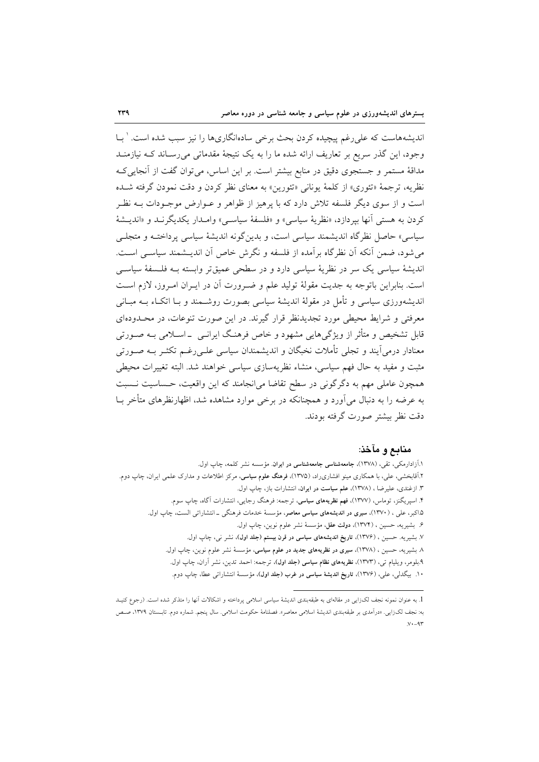اندیشههاست که علی رغم پیچیده کردن بحث برخی سادهانگاریها را نیز سبب شده است. ' بـا وجود، این گذر سریع بر تعاریف ارائه شده ما را به یک نتیجهٔ مقدماتی می رسـاند کـه نبازمنـد مداقهٔ مستمر و جستجوی دقیق در منابع بیشتر است. بر این اساس، می توان گفت از آنجایے ک نظريه، ترجمهٔ «تئوري» از كلمهٔ يوناني «تئورين» به معناي نظر كردن و دقت نمودن گرفته شـده است و از سوی دیگر فلسفه تلاش دارد که با پرهیز از ظواهر و عــوارض موجــودات بــه نظــر كردن به هستى أنها بيردازد، «نظريهٔ سياسي» و «فلسفهٔ سياسـي» وامــدار يكديگرنــد و «انديــشهٔ سیاسی» حاصل نظرگاه اندیشمند سیاسی است، و بدینگونه اندیشهٔ سیاسی پرداختـه و متجلـی می شود، ضمن آنکه آن نظر گاه بر آمده از فلسفه و نگرش خاص آن اندیــشمند سیاســی اســت. اندیشهٔ سیاسی یک سر در نظریهٔ سیاسی دارد و در سطحی عمیقتر وابسته بـه فلـسفهٔ سیاسـی است. بنابراین باتوجه به جدیت مقولهٔ تولید علم و ضرورت آن در ایـران امـروز، لازم اسـت اندیشهورزی سیاسی و تأمل در مقولهٔ اندیشهٔ سیاسی بصورت روشــمند و بــا اتکــاء بــه مبــانی معرفتی و شرایط محیطی مورد تجدیدنظر قرار گیرند. در این صورت تنوعات، در محـدودهای قابل تشخیص و متأثر از ویژگیهایی مشهود و خاص فرهنگ ایرانــی ــ اســلامی بــه صــورتی معنادار درمی اَیند و تجلی تأملات نخبگان و اندیشمندان سیاسی علـی(غـم تکثـر بــه صــورتی مثبت و مفید به حال فهم سیاسی، منشاء نظریهسازی سیاسی خواهند شد. البته تغییرات محیطی همچون عاملی مهم به دگرگونی در سطح تقاضا می|نجامند که این واقعیت، حساسیت نـسبت به عرضه را به دنبال می آورد و همچنانکه در برخی موارد مشاهده شد، اظهارنظرهای متأخر بــا دقت نظر بیشتر صورت گرفته بودند.

### منابع و مآخذ:

۱.آزادارمکی، تقی، (۱۳۷۸)، جامعهشناسی جامعهشناسی در ایران. مؤسسه نشر کلمه، چاپ اول. ۲.آقابخشی، علی، با همکاری مینو افشاریراد، (۱۳۷۵)، **فرهنگ علوم سیاسی**، مرکز اطلاعات و مدارک علمی ایران، چاپ دوم. ۳. ازغندی، علیرضا ، (۱۳۷۸)، علم سیاست در ایران، انتشارات باز، چاپ اول. ۴. اسیریگنز، توماس، (۱۳۷۷)، **فهم نظریههای سیاسی**، ترجمه: فرهنگ رجایی، انتشارات آگاه، چاپ سوم. ۱.۵کبر، علی ، (۱۳۷۰)، **سیری در اندیشههای سیاسی معاصر**، مؤسسهٔ خدمات فرهنگی ــ انتشاراتی الست، چاپ اول<sub>.</sub> ۶. بشيريه، حسين ، (١٣٧٤)، دولت عقل، مؤسسة نشر علوم نوين، چاپ اول. ۷. بشیریه. حسین ، (۱۳۷۶)، تاریخ اندیشههای سیاسی در قرن بیستم (جلد اول)، نشر نی، چاپ اول. ٨. بشيريه، حسين ، (١٣٧٨)، **سيري در نظريههاي جديد در علوم سياسي**، مؤسسة نشر علوم نوين، چاپ اول. ۹.بلومر، ويليام تبي، (١٣٧٣)، نظريههاى نظام سياسى (جلد اول)، ترجمه: احمد تدين، نشر آران، چاپ اول. ۱۰. بیگدلی، علی، (۱۳۷۶)، <mark>تاریخ اندیشهٔ سیاسی در غرب (جلد اول</mark>)، مؤسسهٔ انتشارات<sub>ی</sub> عطا، چاپ دوم.

<sup>1.</sup> به عنوان نمونه نجف لک(ایی در مقالهای به طبقهبندی اندیشهٔ سیاسی اسلامی پرداخته و اشکالات آنها را متذکر شده است. (رجوع کنیـد به: نجف لک(ایی. «درآمدی بر طبقهبندی اندیشهٔ اسلامی معاصر». فصلنامهٔ حکومت اسلامی. سال پنجم. شماره دوم. تابـستان ۱۳۷۹، صـص  $y - 9r$